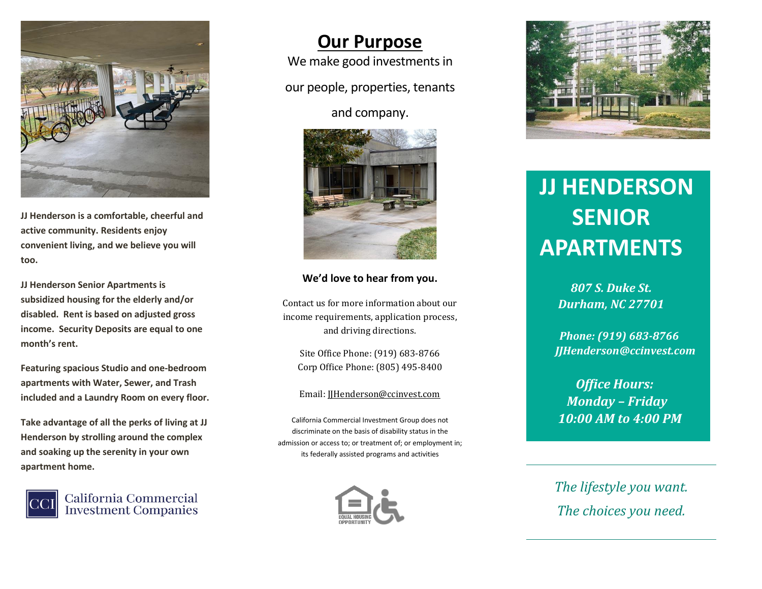

**JJ Henderson is a comfortable, cheerful and active community. Residents enjoy convenient living, and we believe you will too.**

**JJ Henderson Senior Apartments is subsidized housing for the elderly and/or disabled. Rent is based on adjusted gross income. Security Deposits are equal to one month's rent.**

**Featuring spacious Studio and one-bedroom apartments with Water, Sewer, and Trash included and a Laundry Room on every floor.** 

**Take advantage of all the perks of living at JJ Henderson by strolling around the complex and soaking up the serenity in your own apartment home.**



California Commercial **Investment Companies** 

## **Our Purpose**

We make good investments in

our people, properties, tenants

and company.



#### **We'd love to hear from you.**

Contact us for more information about our income requirements, application process, and driving directions.

Site Office Phone: (919) 683-8766 Corp Office Phone: (805) 495-8400

#### Email: [JJHenderson@ccinvest.com](about:blank)

California Commercial Investment Group does not discriminate on the basis of disability status in the admission or access to; or treatment of; or employment in; its federally assisted programs and activities





# **JJ HENDERSON SENIOR APARTMENTS**

*<i>Durham, NC 27701 807 S. Duke St.* 

> *Phone: (919) 683-8766 JJHenderson@ccinvest.com*

 *Office Hours: Monday – Friday 10:00 AM to 4:00 PM*

*The lifestyle you want. The choices you need.*